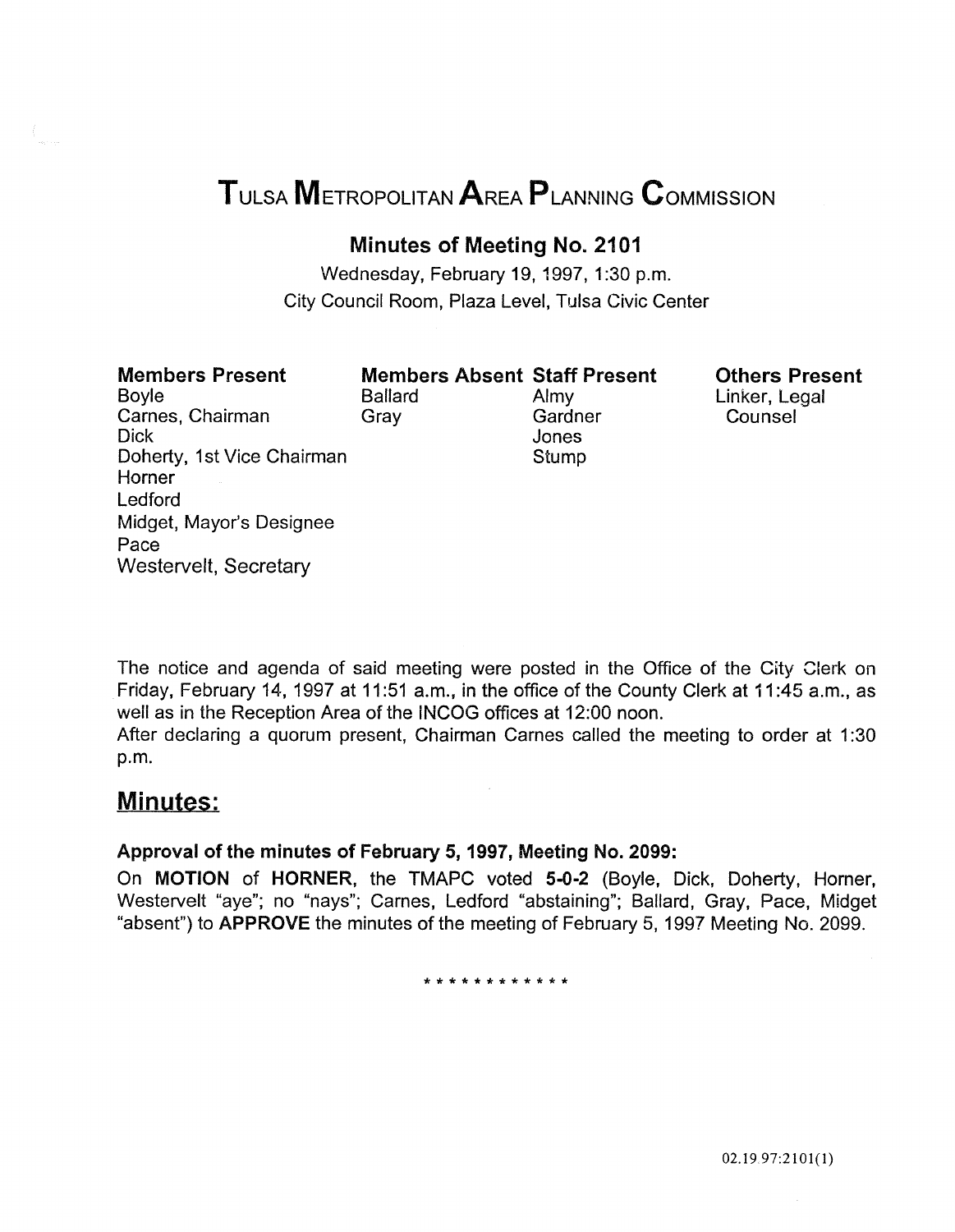# TULSA METROPOLITAN AREA PLANNING CoMMISSION

# Minutes of Meeting No. 2101

Wednesday, February 19, 1997, 1:30 p.m. City Council Room, Plaza Level, Tulsa Civic Center

# Members Present

Boyle Carnes, Chairman Dick Doherty, 1st Vice Chairman Horner Ledford Midget, Mayor's Designee Pace Westervelt, Secretary

Members Absent Staff Present Ballard Almy<br>Grav Gardr Gardner Jones **Stump** 

Others Present Linker, Legal **Counsel** 

The notice and agenda of said meeting were posted in the Office of the City Clerk on Friday, February 14, 1997 at 11:51 a.m., in the office of the County Clerk at 11:45 a.m., as well as in the Reception Area of the INCOG offices at 12:00 noon.

After declaring a quorum present, Chairman Carnes called the meeting to order at 1:30 p.m.

# Minutes:

### Approval of the minutes of February 5, 1997, Meeting No. 2099:

On MOTION of HORNER, the TMAPC voted 5-0-2 (Boyle, Dick, Doherty, Horner, Westervelt "aye"; no "nays"; Carnes, Ledford "abstaining"; Ballard, Gray, Pace, Midget "absent") to APPROVE the minutes of the meeting of February 5, 1997 Meeting No. 2099.

\*\*\*\*\*\*\*\*\*\*\*\*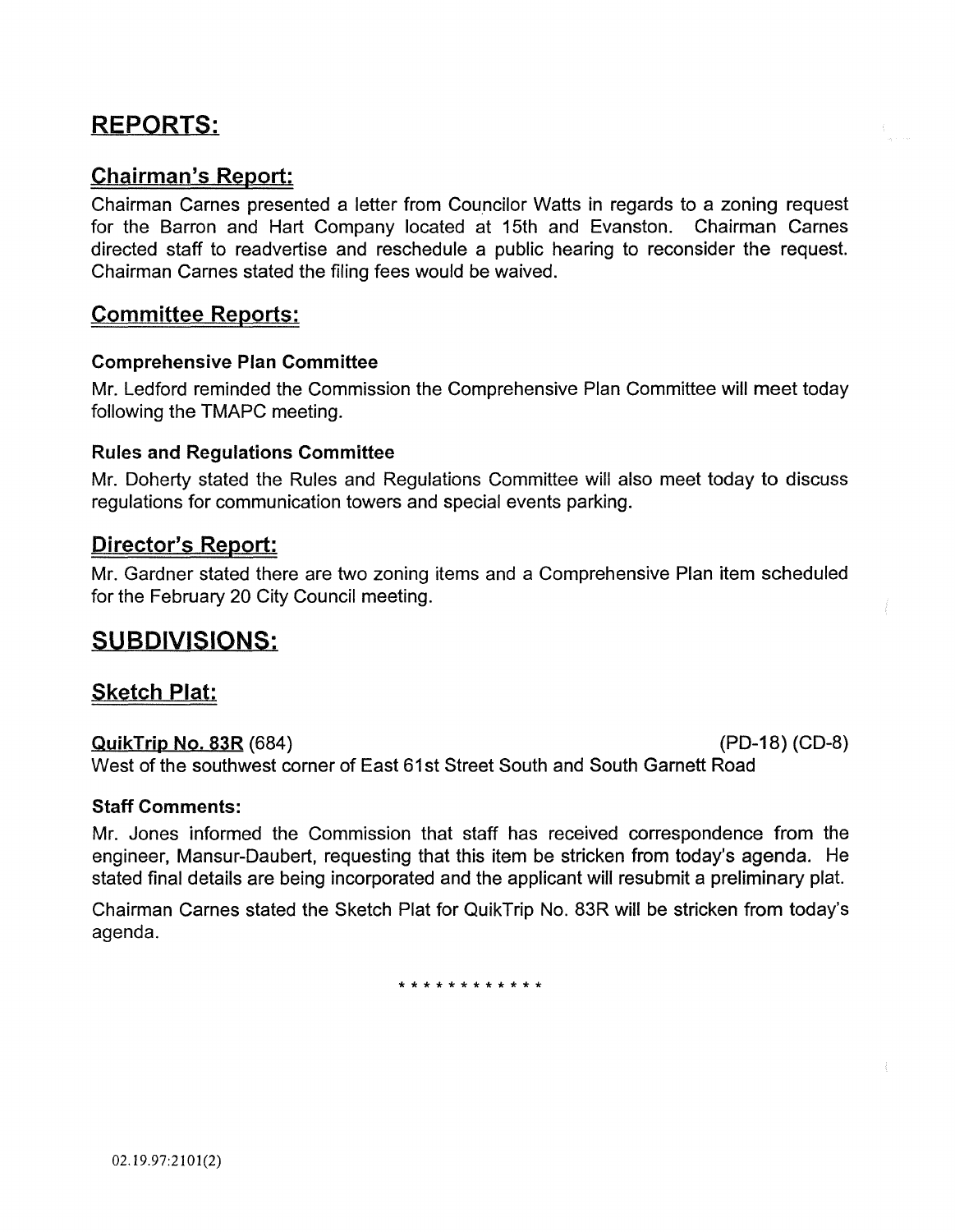# REPORTS:

# Chairman's Report:

Chairman Carnes presented a letter from Councilor Watts in regards to a zoning request for the Barron and Hart Company located at 15th and Evanston. Chairman Carnes directed staff to readvertise and reschedule a public hearing to reconsider the request. Chairman Carnes stated the filing fees would be waived.

# Committee Reports:

### Comprehensive Plan Committee

Mr. Ledford reminded the Commission the Comprehensive Plan Committee will meet today following the TMAPC meeting.

### Rules and Regulations Committee

Mr. Doherty stated the Rules and Regulations Committee will also meet today to discuss regulations for communication towers and special events parking.

### Director's Report:

Mr. Gardner stated there are two zoning items and a Comprehensive Plan item scheduled for the February 20 City Council meeting.

# SUBDIVISIONS:

### Sketch Plat:

QuikTrip No. 83R (684) (PD-18) (CD-8) West of the southwest corner of East 61st Street South and South Garnett Road

### Staff Comments:

Mr. Jones informed the Commission that staff has received correspondence from the engineer, Mansur-Daubert, requesting that this item be stricken from today's agenda. He stated final details are being incorporated and the applicant will resubmit a preliminary plat.

Chairman Carnes stated the Sketch Plat for QuikTrip No. 83R will be stricken from today's agenda.

\*\*\*\*\*\*\*\*\*\*\*\*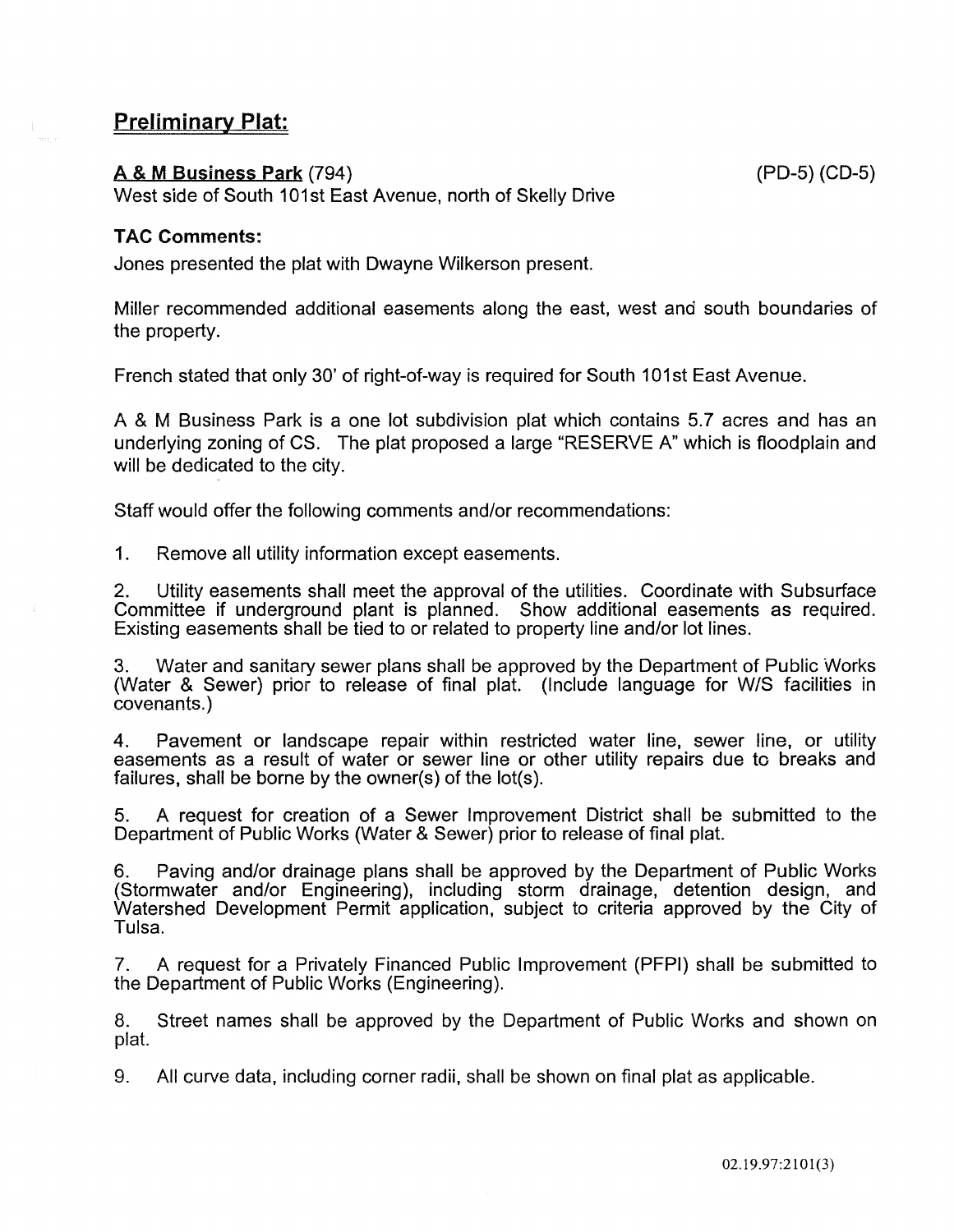# Preliminary Plat:

### A & M Business Park (794) (PD-5) (CD-5)

West side of South 101st East Avenue, north of Skelly Drive

### TAC Comments:

Jones presented the plat with Dwayne Wilkerson present.

Miller recommended additional easements along the east, west and south boundaries of the property.

French stated that only 30' of right-of-way is required for South 101st East Avenue.

A & M Business Park is a one lot subdivision plat which contains 5.7 acres and has an underlying zoning of CS. The plat proposed a large "RESERVE A" which is floodplain and will be dedicated to the city.

Staff would offer the following comments and/or recommendations:

1. Remove all utility information except easements.

2. Utility easements shall meet the approval of the utilities. Coordinate with Subsurface Committee if underground plant is planned. Show additional easements as required. Existing easements shall be tied to or related to property line and/or lot lines.

3. Water and sanitary sewer plans shall be approved by the Department of Public Works (Water & Sewer) prior to release of final plat. (Include language for W/S facilities in covenants.)

4. Pavement or landscape repair within restricted water line, sewer line, or utility easements as a result of water or sewer line or other utility repairs due to breaks and failures, shall be borne by the owner(s) of the lot(s).

5. A request for creation of a Sewer Improvement District shall be submitted to the Department of Public Works (Water & Sewer) prior to release of final plat.

6. Paving and/or drainage plans shall be approved by the Department of Public Works (Stormwater and/or Engineering), including storm drainage, detention design, and Watershed Development Permit application, subject to criteria approved by the City of Tulsa.

7. A request for a Privately Financed Public Improvement (PFPI) shall be submitted to the Department of Public Works (Engineering).

8. Street names shall be approved by the Department of Public Works and shown on plat.

9. All curve data, including corner radii, shall be shown on final plat as applicable.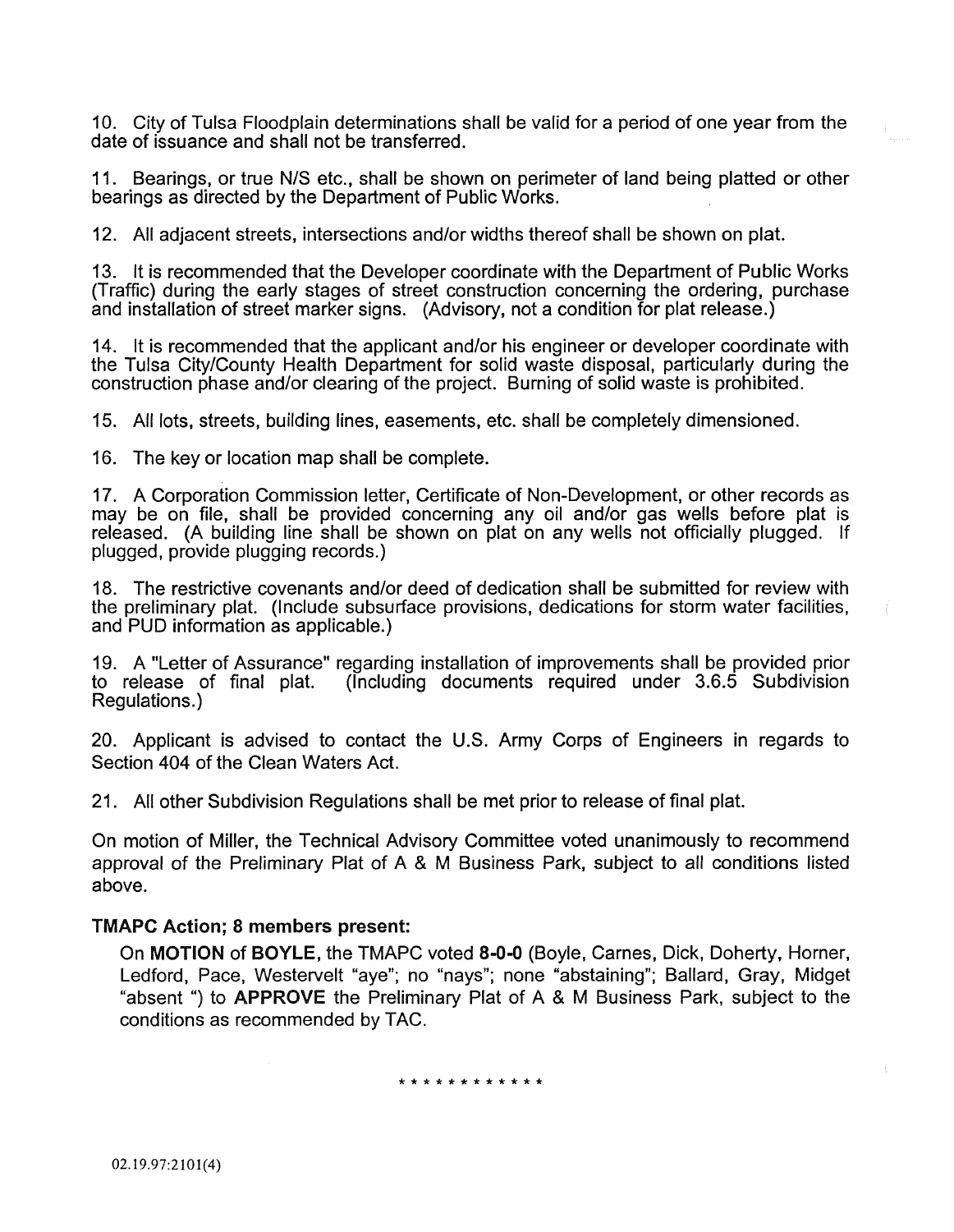10. City of Tulsa Floodplain determinations shall be valid for a period of one year from the date of issuance and shall not be transferred.

11. Bearings, or true N/S etc., shall be shown on perimeter of land being platted or other bearings as directed by the Department of Public Works.

12. All adjacent streets, intersections and/or widths thereof shall be shown on plat.

13. It is recommended that the Developer coordinate with the Department of Public Works (Traffic) during the early stages of street construction concerning the ordering, purchase and installation of street marker signs. (Advisory, not a condition for plat release.)

14. It is recommended that the applicant and/or his engineer or developer coordinate with the Tulsa City/County Health Department for solid waste disposal, particularly during the construction phase and/or clearing of the project. Burning of solid waste is prohibited.

15. All lots, streets, building lines, easements, etc. shall be completely dimensioned.

16. The key or location map shall be complete.

17. A Corporation Commission letter, Certificate of Non-Development, or other records as may be on file, shall be provided concerning any oil and/or gas wells before plat is released. (A building line shall be shown on plat on any wells not officially plugged. If plugged, provide plugging records.)

18. The restrictive covenants and/or deed of dedication shall be submitted for review with the preliminary plat. (Include subsurface provisions, dedications for storm water facilities, and PUD information as applicable.)

19. A "Letter of Assurance" regarding installation of improvements shall be provided prior  $($ Including documents required under  $3.6.5$  Subdivision Regulations.)

20. Applicant is advised to contact the U.S. Army Corps of Engineers in regards to Section 404 of the Clean Waters Act.

21. All other Subdivision Regulations shall be met prior to release of final plat.

On motion of Miller, the Technical Advisory Committee voted unanimously to recommend approval of the Preliminary Plat of A & M Business Park, subject to all conditions listed above.

### TMAPC Action; 8 members present:

On MOTION of BOYLE, the TMAPC voted 8-0-0 (Boyle, Carnes, Dick, Doherty, Horner, Ledford, Pace, Westervelt "aye"; no "nays"; none "abstaining"; Ballard, Gray, Midget "absent ") to APPROVE the Preliminary Plat of A & M Business Park, subject to the conditions as recommended by TAC.

\* \* \* \* \* \* \* \* \* \* \* \*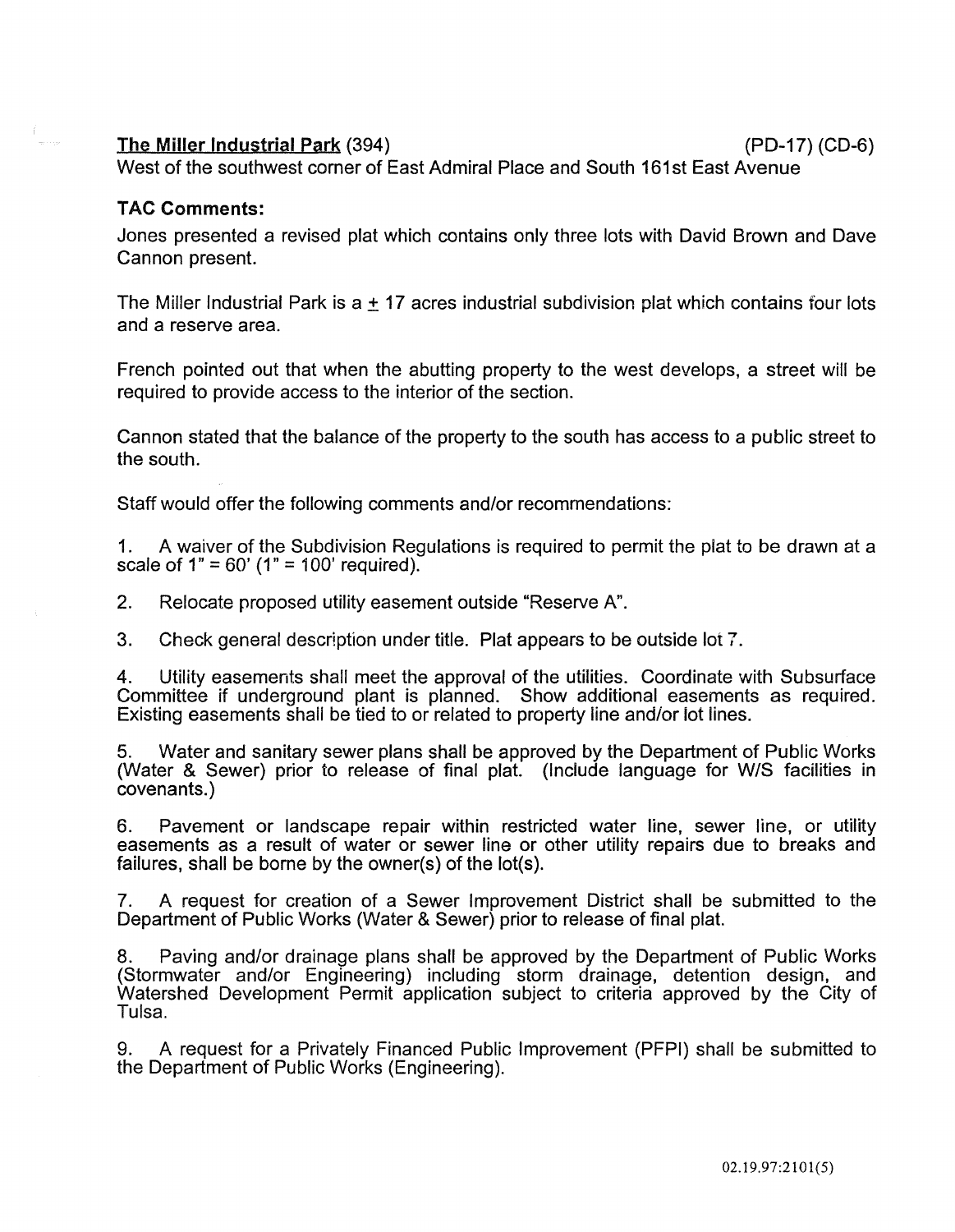### The Miller Industrial Park (394) (PD-17) (CD-6)

West of the southwest corner of East Admiral Place and South 161st East Avenue

### TAC Comments:

Jones presented a revised plat which contains only three lots with David Brown and Dave Cannon present.

The Miller Industrial Park is a  $\pm$  17 acres industrial subdivision plat which contains four lots and a reserve area.

French pointed out that when the abutting property to the west develops, a street will be required to provide access to the interior of the section.

Cannon stated that the balance of the property to the south has access to a public street to the south.

Staff would offer the following comments and/or recommendations:

1. A waiver of the Subdivision Regulations is required to permit the plat to be drawn at a scale of  $1" = 60'$  ( $1" = 100'$  required).

2. Relocate proposed utility easement outside "Reserve A".

3. Check general description under title. Plat appears to be outside lot 7.

4. Utility easements shall meet the approval of the utilities. Coordinate with Subsurface Committee if underground plant is planned. Show additional easements as required. Existing easements shali be tied to or related to property line and/or lot lines.

5. Water and sanitary sewer plans shall be approved by the Department of Public Works (Water & Sewer) prior to release of final plat. (Include language for W/S facilities in covenants.)

6. Pavement or landscape repair within restricted water line, sewer line, or utility easements as a result of water or sewer line or other utility repairs due to breaks and failures, shall be borne by the owner(s) of the lot(s).

7. A request for creation of a Sewer Improvement District shall be submitted to the Department of Public Works (Water & Sewer) prior to release of final plat.

8. Paving and/or drainage plans shall be approved by the Department of Public Works (Stormwater and/or Engineering) including storm drainage, detention design, and Watershed Development Permit application subject to criteria approved by the City of Tulsa.

9. A request for a Privately Financed Public Improvement (PFPI) shall be submitted to the Department of Public Works (Engineering).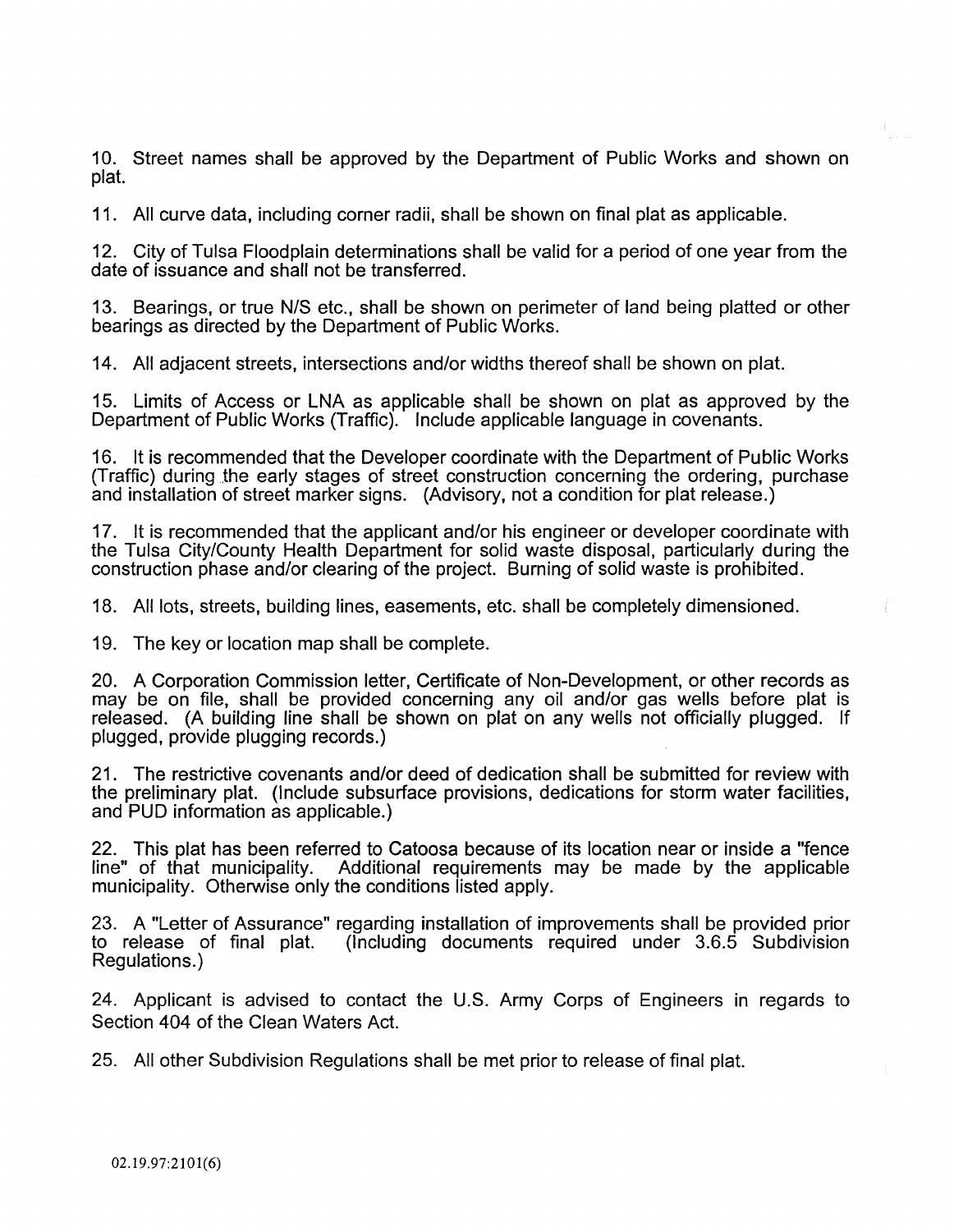10. Street names shall be approved by the Department of Public Works and shown on plat.

11. All curve data, including corner radii, shall be shown on final plat as applicable.

12. City of Tulsa Floodplain determinations shall be valid for a period of one year from the date of issuance and shall not be transferred.

13. Bearings, or true N/S etc., shall be shown on perimeter of land being platted or other bearings as directed by the Department of Public Works.

14. All adjacent streets, intersections and/or widths thereof shall be shown on plat.

15. Limits of Access or LNA as applicable shall be shown on plat as approved by the Department of Public Works (Traffic). Include applicable language in covenants.

16. It is recommended that the Developer coordinate with the Department of Public Works (Traffic) during the early stages of street construction concerning the ordering, purchase and installation of street marker signs. (Advisory, not a condition for plat release.)

17. It is recommended that the applicant and/or his engineer or developer coordinate with the Tulsa City/County Health Department for solid waste disposal, particularly during the construction phase and/or clearing of the project. Burning of solid waste is prohibited.

18. All lots, streets, building lines, easements, etc. shall be completely dimensioned.

19. The key or location map shall be complete.

20. A Corporation Commission letter, Certificate of Non-Development, or other records as may be on file, shall be provided concerning any oil and/or gas wells before plat is released. (A building line shall be shown on plat on any wells not officially plugged. If plugged, provide plugging records.)

21. The restrictive covenants and/or deed of dedication shall be submitted for review with the preliminary plat. (Include subsurface provisions, dedications for storm water facilities, and PUD information as applicable.)

22. This plat has been referred to Catoosa because of its location near or inside a "fence line" of that municipality. Additional requirements may be made by the applicable municipality. Otherwise only the conditions listed apply.

23. A "Letter of Assurance" regarding installation of improvements shall be provided prior<br>to release of final plat. (Including documents required under 3.6.5 Subdivision  $($ Including documents required under  $3.6.5$  Subdivision Regulations.)

24. Applicant is advised to contact the U.S. Army Corps of Engineers in regards to Section 404 of the Clean Waters Act.

25. All other Subdivision Regulations shall be met prior to release of final plat.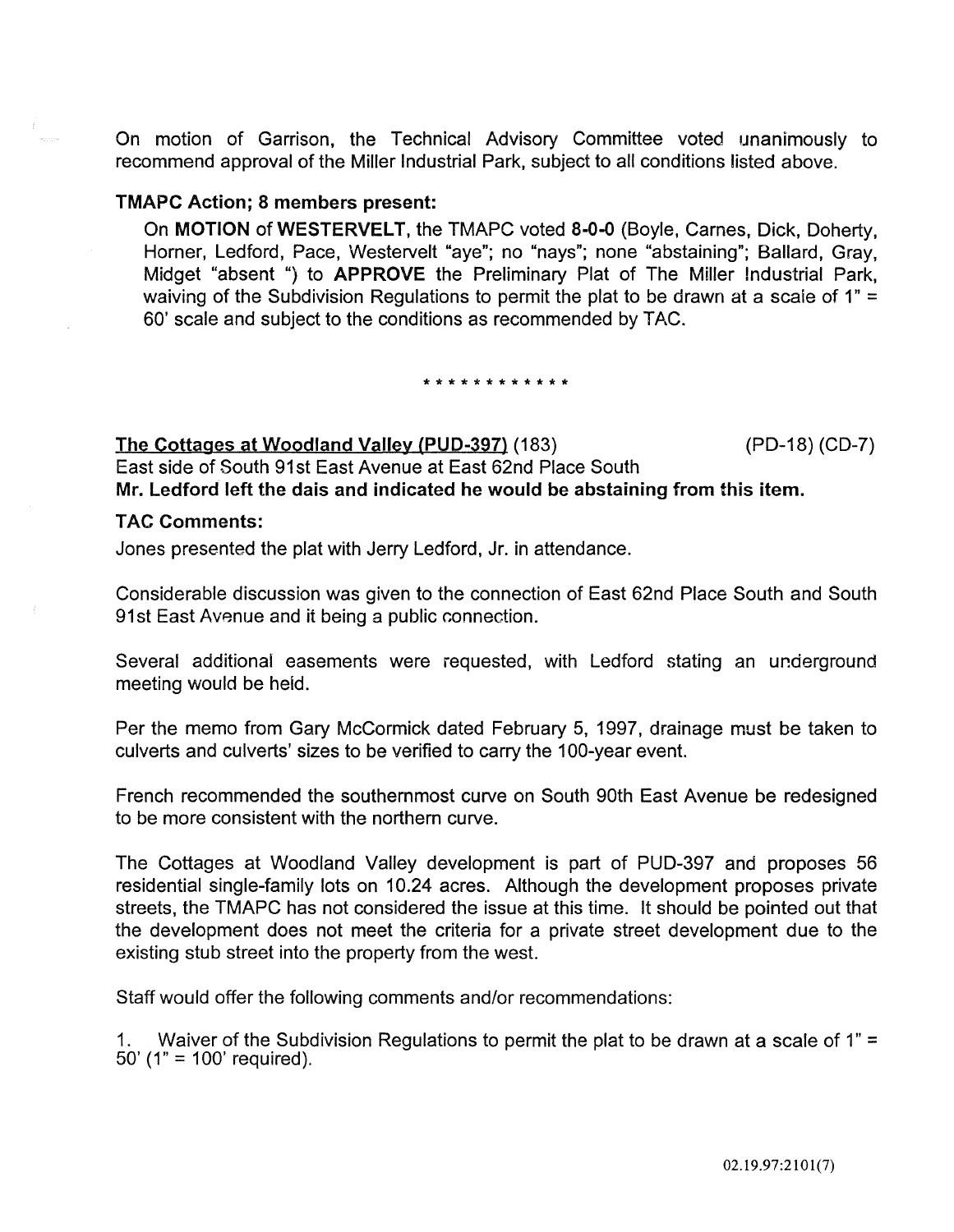On motion of Garrison, the Technical Advisory Committee voted unanimously to recommend approval of the Miller Industrial Park, subject to all conditions listed above.

### TMAPC Action; 8 members present:

On MOTION of WESTERVELT, the TMAPC voted 8-0-0 (Boyle, Carnes, Dick, Doherty, Horner, Ledford, Pace, Westervelt "aye"; no "nays"; none "abstaining"; Ballard, Gray, Midget "absent ") to APPROVE the Preliminary Plat of The Miller Industrial Park, waiving of the Subdivision Regulations to permit the plat to be drawn at a scale of 1" = 60' scale and subject to the conditions as recommended by TAC.

#### \*\*\*\*\*\*\*\*\*\*\*\*

The Cottages at Woodland Valley (PUD-397) (183) (PD-18) (CD-7) East side of South 91 st East Avenue at East 62nd Place South Mr. Ledford left the dais and indicated he would be abstaining from this item.

### TAC Comments:

Jones presented the plat with Jerry Ledford, Jr. in attendance.

Considerable discussion was given to the connection of East 62nd Place South and South 91 st East Avenue and it being a public connection.

Several additional easements were requested, with Ledford stating an underground meeting would be held.

Per the memo from Gary McCormick dated February 5, 1997, drainage must be taken to culverts and culverts' sizes to be verified to carry the 1 00-year event.

French recommended the southernmost curve on South 90th East Avenue be redesigned to be more consistent with the northern curve.

The Cottages at Woodland Valley development is part of PUD-397 and proposes 56 residential single-family lots on 10.24 acres. Although the development proposes private streets, the TMAPC has not considered the issue at this time. It should be pointed out that the development does not meet the criteria for a private street development due to the existing stub street into the property from the west.

Staff would offer the following comments and/or recommendations:

1. Waiver of the Subdivision Regulations to permit the plat to be drawn at a scale of 1" = 50' (1" = 100' required).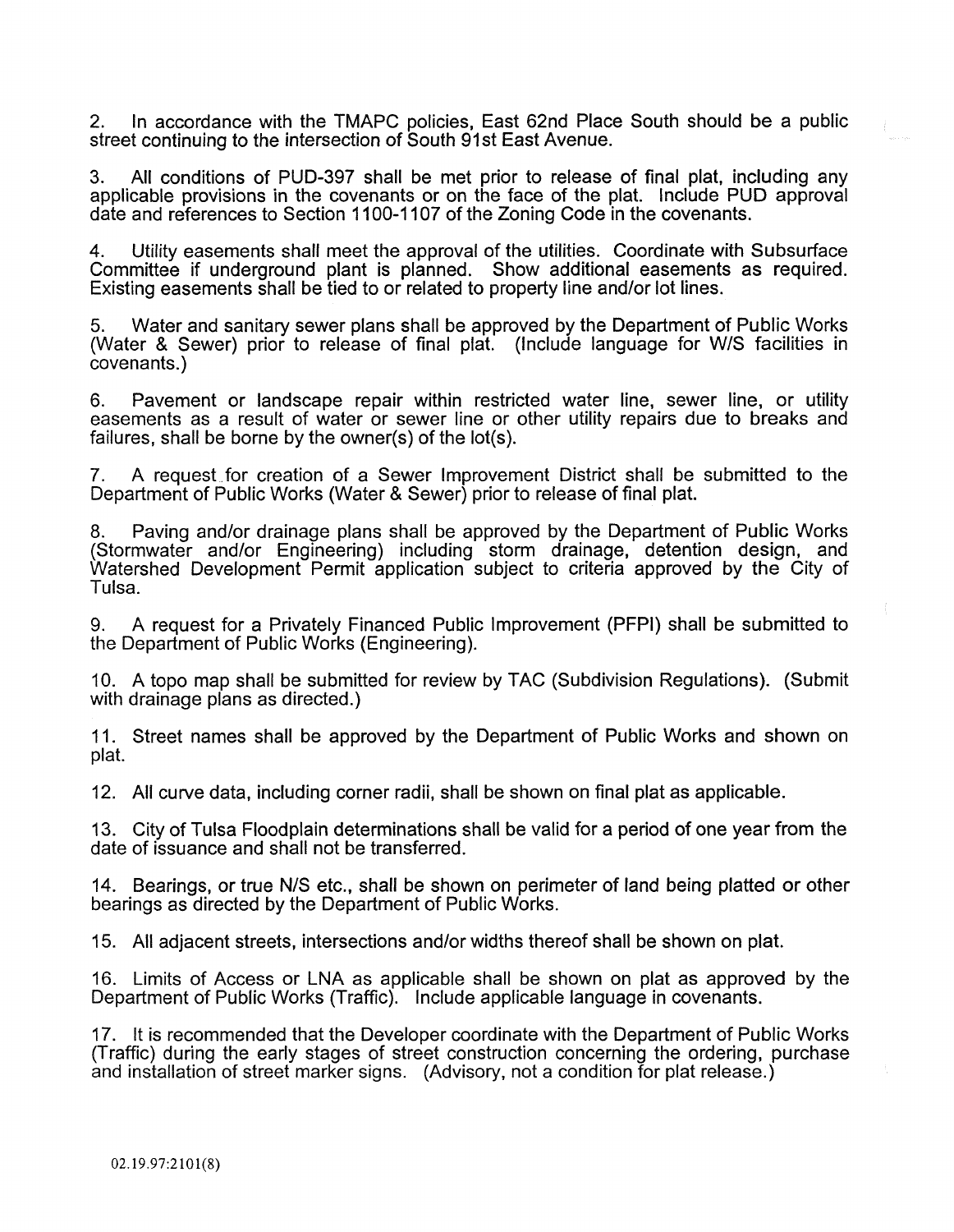2. In accordance with the TMAPC policies, East 62nd Place South should be a public street continuing to the intersection of South 91st East Avenue.

3. All conditions of PUD-397 shall be met prior to release of final plat, including any applicable provisions in the covenants or on the face of the plat. Include PUD approval date and references to Section 1100-1107 of the Zoning Code in the covenants.

4. Utility easements shall meet the approval of the utilities. Coordinate with Subsurface Committee if underground plant is planned. Show additional easements as required. Existing easements shall be tied to or related to property line and/or lot lines.

5. Water and sanitary sewer plans shall be approved by the Department of Public Works (Water & Sewer) prior to release of final plat. (Include language for W/S facilities in covenants.)

6. Pavement or landscape repair within restricted water line, sewer line, or utility easements as a result of water or sewer line or other utility repairs due to breaks and failures, shall be borne by the owner(s) of the lot(s).

7. A request for creation of a Sewer Improvement District shall be submitted to the Department of Public Works (Water & Sewer) prior to release of final plat.

8. Paving and/or drainage plans shall be approved by the Department of Public Works (Stormwater and/or Engineering) including storm drainage, detention design, and Watershed Development Permit application subject to criteria approved by the City of Tulsa.

9. A request for a Privately Financed Public Improvement (PFPI) shall be submitted to the Department of Public Works (Engineering).

10. A topo map shall be submitted for review by TAC (Subdivision Regulations). (Submit with drainage plans as directed.)

11. Street names shall be approved by the Department of Public Works and shown on plat.

12. All curve data, including corner radii, shall be shown on final plat as applicable.

13. City of Tulsa Floodplain determinations shall be valid for a period of one year from the date of issuance and shall not be transferred.

14. Bearings, or true N/S etc., shall be shown on perimeter of land being platted or other bearings as directed by the Department of Public Works.

15. All adjacent streets, intersections and/or widths thereof shall be shown on plat.

16. Limits of Access or LNA as applicable shall be shown on plat as approved by the Department of Public Works (Traffic). Include applicable language in covenants.

17. It is recommended that the Developer coordinate with the Department of Public Works (Traffic) during the early stages of street construction concerning the ordering, purchase and installation of street marker signs. (Advisory, not a condition for plat release.)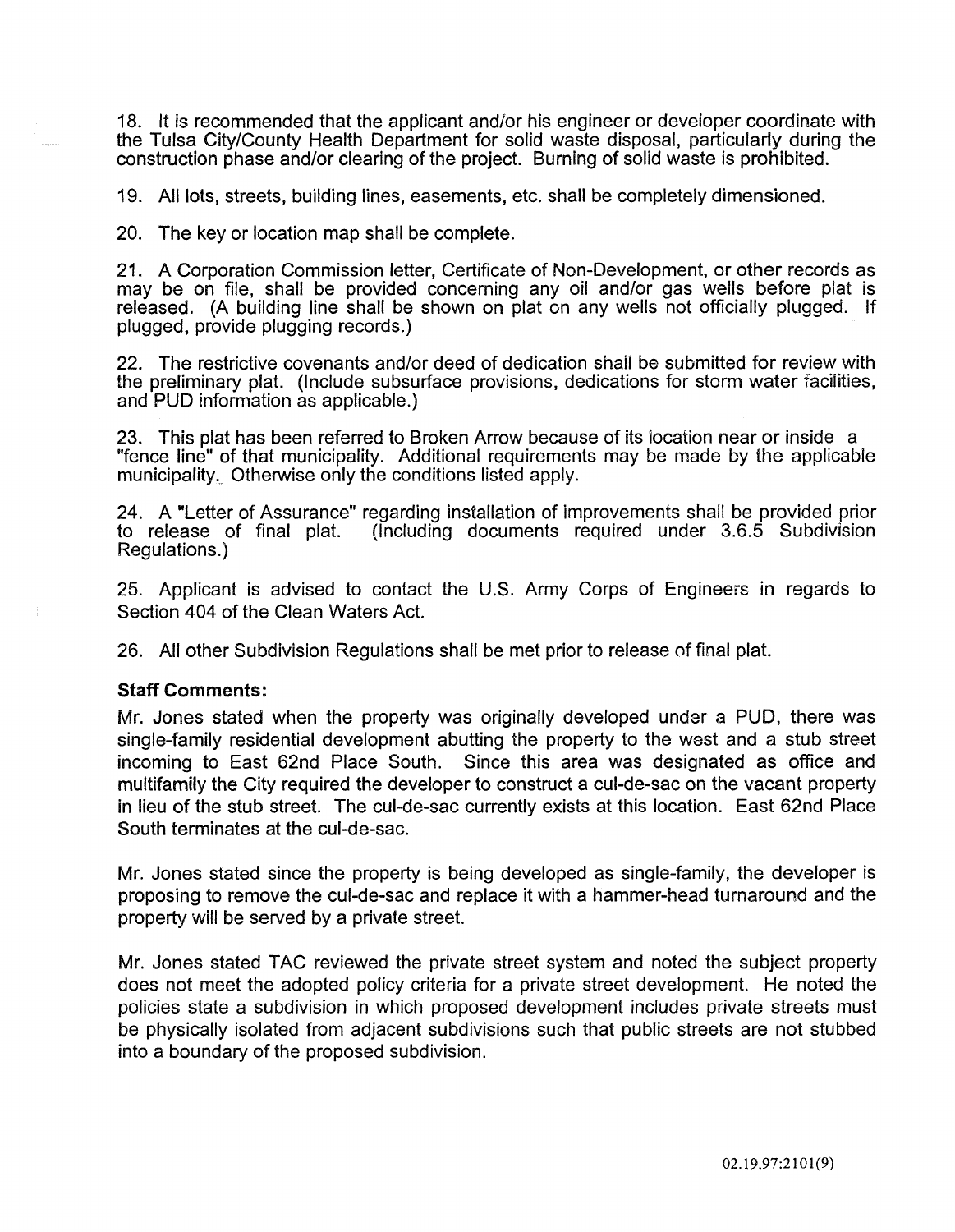18. It is recommended that the applicant and/or his engineer or developer coordinate with the Tulsa City/County Health Department for solid waste disposal, particularly during the construction phase and/or clearing of the project. Burning of solid waste is prohibited.

19. All lots, streets, building lines, easements, etc. shall be completely dimensioned.

20. The key or location map shall be complete.

21. A Corporation Commission letter, Certificate of Non-Development, or other records as may be on file, shall be provided concerning any oil and/or gas wells before plat is released. (A building line shall be shown on plat on any wells not officially plugged. If plugged, provide plugging records.)

22. The restrictive covenants and/or deed of dedication shall be submitted for review with the preliminary plat. (Include subsurface provisions, dedications for storm water facilities, and PUD information as applicable.)

23. This plat has been referred to Broken Arrow because of its location near or inside a "fence line" of that municipality. Additional requirements may be made by the applicable municipality. Otherwise only the conditions listed apply.

24. A "Letter of Assurance" regarding installation of improvements shall be provided prior<br>to release of final plat. (Including documents required under 3.6.5 Subdivision  $($ Including documents required under  $3.6.5$  Subdivision Regulations.)

25. Applicant is advised to contact the U.S. Army Corps of Engineers in regards to Section 404 of the Clean Waters Act.

26. All other Subdivision Regulations shall be met prior to release of final plat.

#### Staff Comments:

Mr. Jones stated when the property was originally developed under a PUD, there was single-family residential development abutting the property to the west and a stub street incoming to East 62nd Place South. Since this area was designated as office and multifamily the City required the developer to construct a cul-de-sac on the vacant property in lieu of the stub street. The cul-de-sac currently exists at this location. East 62nd Place South terminates at the cul-de-sac.

Mr. Jones stated since the property is being developed as single-family, the developer is proposing to remove the cul-de-sac and replace it with a hammer-head turnaround and the property will be served by a private street.

Mr. Jones stated TAC reviewed the private street system and noted the subject property does not meet the adopted policy criteria for a private street development. He noted the policies state a subdivision in which proposed development includes private streets must be physically isolated from adjacent subdivisions such that public streets are not stubbed into a boundary of the proposed subdivision.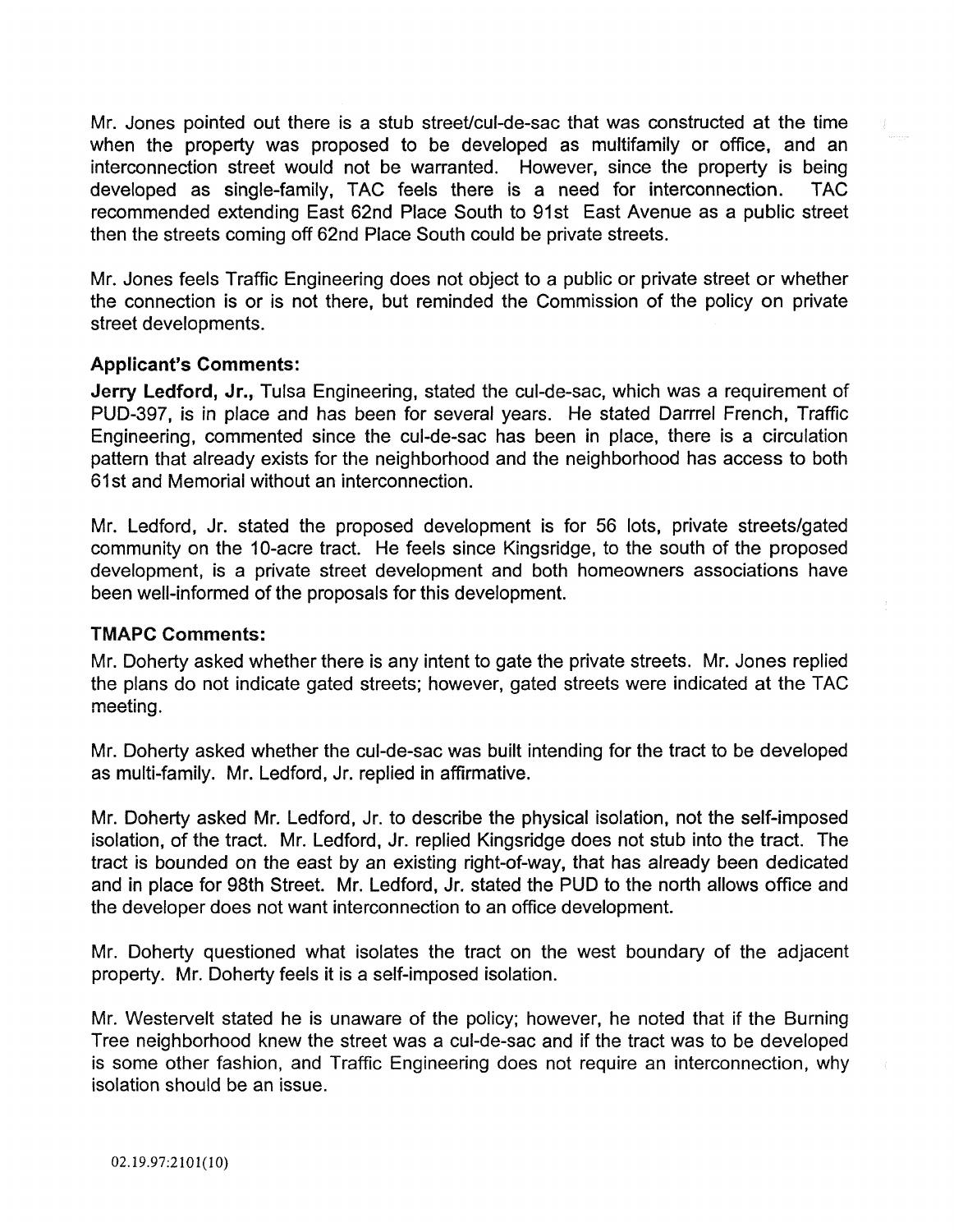Mr. Jones pointed out there is a stub street/cul-de-sac that was constructed at the time when the property was proposed to be developed as multifamily or office, and an interconnection street would not be warranted. However, since the property is being developed as single-family, TAC feels there is a need for interconnection. TAC recommended extending East 62nd Place South to 91st East Avenue as a public street then the streets coming off 62nd Place South could be private streets.

Mr. Jones feels Traffic Engineering does not object to a public or private street or whether the connection is or is not there, but reminded the Commission of the policy on private street developments.

### Applicant's Comments:

Jerry Ledford, Jr., Tulsa Engineering, stated the cul-de-sac, which was a requirement of PUD-397, is in place and has been for several years. He stated Darrrel French, Traffic Engineering, commented since the cul-de-sac has been in place, there is a circulation pattern that already exists for the neighborhood and the neighborhood has access to both 61 st and Memorial without an interconnection.

Mr. Ledford, Jr. stated the proposed development is for 56 lots, private streets/gated community on the 10-acre tract. He feels since Kingsridge, to the south of the proposed development, is a private street development and both homeowners associations have been well-informed of the proposals for this development.

### TMAPC Comments:

Mr. Doherty asked whether there is any intent to gate the private streets. Mr. Jones replied the plans do not indicate gated streets; however, gated streets were indicated at the TAC **meeting.** 

Mr. Doherty asked whether the cul-de-sac was built intending for the tract to be developed as multi-family. Mr. Ledford, Jr. replied in affirmative.

Mr. Doherty asked Mr. Ledford, Jr. to describe the physical isolation, not the self-imposed isolation, of the tract. Mr. Ledford, Jr. replied Kingsridge does not stub into the tract. The tract is bounded on the east by an existing right-of-way, that has already been dedicated and in place for 98th Street. Mr. Ledford, Jr. stated the PUD to the north allows office and the developer does not want interconnection to an office development.

Mr. Doherty questioned what isolates the tract on the west boundary of the adjacent property. Mr. Doherty feels it is a self-imposed isolation.

Mr. Westervelt stated he is unaware of the policy; however, he noted that if the Burning Tree neighborhood knew the street was a cul-de-sac and if the tract was to be developed is some other fashion, and Traffic Engineering does not require an interconnection, why isolation should be an issue.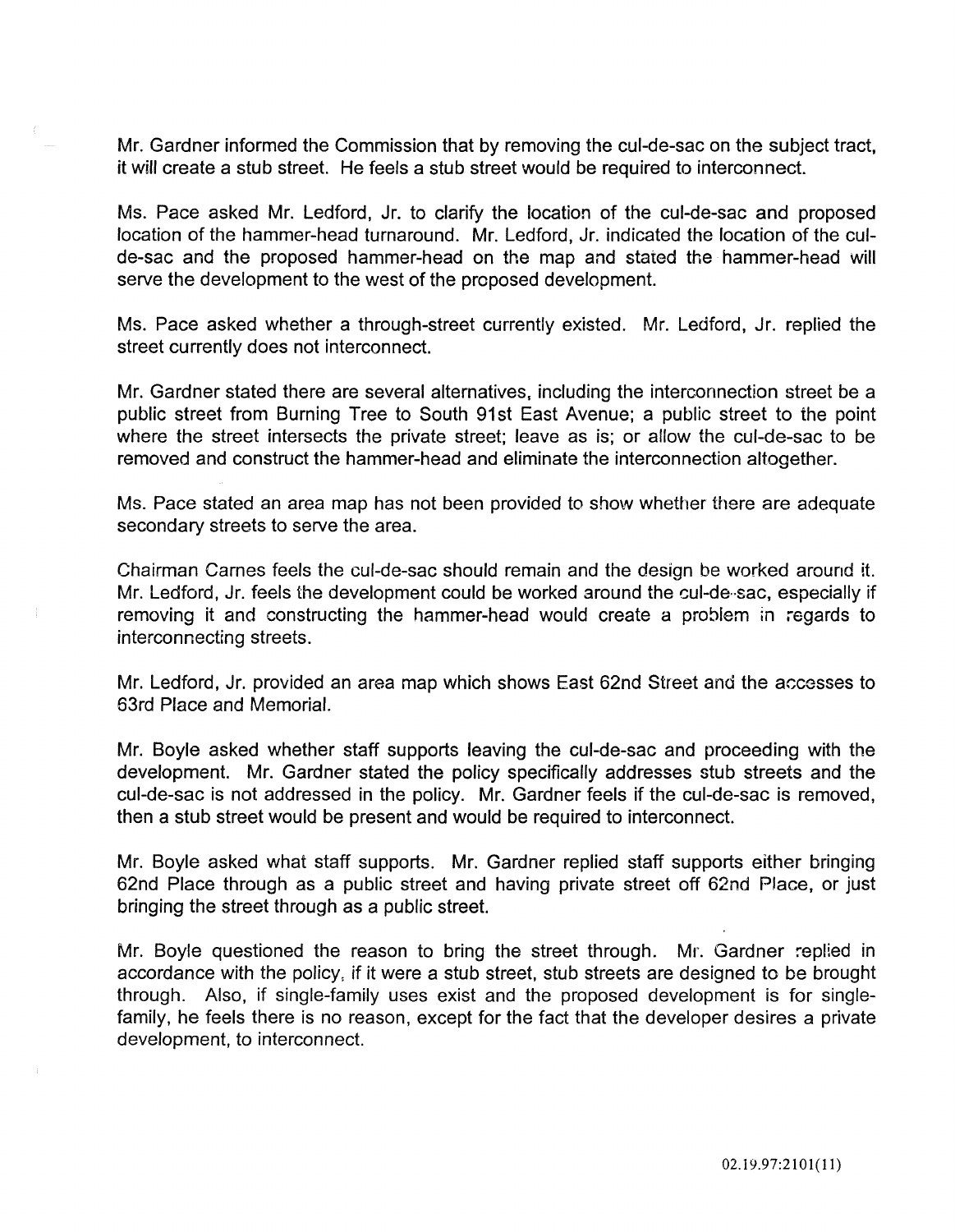Mr. Gardner informed the Commission that by removing the cul-de-sac on the subject tract, it will create a stub street. He feels a stub street would be required to interconnect.

Ms. Pace asked Mr. Ledford, Jr. to clarify the location of the cul-de-sac and proposed location of the hammer-head turnaround. Mr. Ledford, Jr. indicated the location of the culde-sac and the proposed hammer-head on the map and stated the hammer-head will serve the development to the west of the proposed development.

Ms. Pace asked whether a through-street currently existed. Mr. Ledford, Jr. replied the street currently does not interconnect.

Mr. Gardner stated there are several alternatives, including the interconnection street be a public street from Burning Tree to South 91st East Avenue; a public street to the point where the street intersects the private street; leave as is; or allow the cul-de-sac to be removed and construct the hammer-head and eliminate the interconnection altogether.

Ms. Pace stated an area map has not been provided to show whether there are adequate secondary streets to serve the area.

Chairman Carnes feels the cul-de-sac should remain and the design be worked around it. Mr. Ledford, Jr. feels the development could be worked around the cul-de··sac, especially if removing it and constructing the hammer-head would create a problem in regards to interconnecting streets.

Mr. Ledford, Jr. provided an area map which shows East 62nd Street and the accesses to 63rd Place and Memorial.

Mr. Boyle asked whether staff supports leaving the cul-de-sac and proceeding with the development. Mr. Gardner stated the policy specifically addresses stub streets and the cul-de-sac is not addressed in the policy. Mr. Gardner feels if the cul-de-sac is removed, then a stub street would be present and would be required to interconnect.

Mr. Boyle asked what staff supports. Mr. Gardner replied staff supports either bringing 62nd Place through as a public street and having private street off 62nd Place, or just bringing the street through as a public street.

Mr. Boyle questioned the reason to bring the street through. Mr. Gardner replied in accordance with the policy, if it were a stub street, stub streets are designed to be brought through. Also, if single-family uses exist and the proposed development is for singlefamily, he feels there is no reason, except for the fact that the developer desires a private development, to interconnect.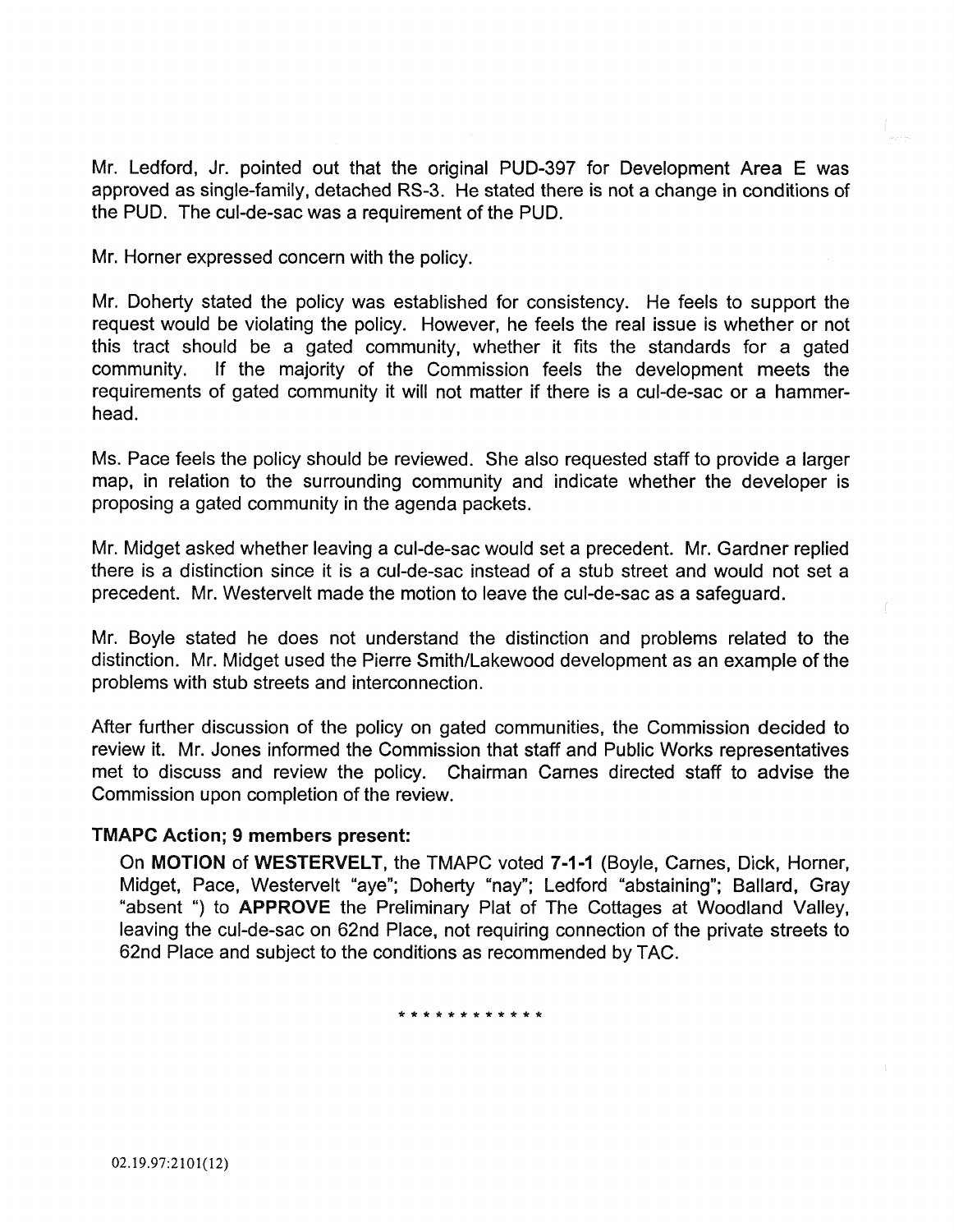Mr. Ledford, Jr. pointed out that the original PUD-397 for Development Area E was approved as single-family, detached RS-3. He stated there is not a change in conditions of the PUD. The cul-de-sac was a requirement of the PUD.

Mr. Horner expressed concern with the policy.

Mr. Doherty stated the policy was established for consistency. He feels to support the request would be violating the policy. However, he feels the real issue is whether or not this tract should be a gated community, whether it fits the standards for a gated community. If the majority of the Commission feels the development meets the requirements of gated community it will not matter if there is a cul-de-sac or a hammerhead.

Ms. Pace feels the policy should be reviewed. She also requested staff to provide a larger map, in relation to the surrounding community and indicate whether the developer is proposing a gated community in the agenda packets.

Mr. Midget asked whether leaving a cul-de-sac would set a precedent. Mr. Gardner replied there is a distinction since it is a cul-de-sac instead of a stub street and would not set a precedent. Mr. Westervelt made the motion to leave the cul-de-sac as a safeguard.

Mr. Boyle stated he does not understand the distinction and problems related to the distinction. Mr. Midget used the Pierre Smith/Lakewood development as an example of the problems with stub streets and interconnection.

After further discussion of the policy on gated communities, the Commission decided to review it. Mr. Jones informed the Commission that staff and Public Works representatives met to discuss and review the policy. Chairman Carnes directed staff to advise the Commission upon completion of the review.

### TMAPC Action; 9 members present:

On MOTION of WESTERVELT, the TMAPC voted 7-1-1 (Boyle, Carnes, Dick, Horner, Midget, Pace, Westervelt "aye"; Doherty "nay"; Ledford "abstaining"; Ballard, Gray "absent ") to APPROVE the Preliminary Plat of The Cottages at Woodland Valley, leaving the cul-de-sac on 62nd Place, not requiring connection of the private streets to 62nd Place and subject to the conditions as recommended by TAC.

\*\*\*\*\*\*\*\*\*\*\*\*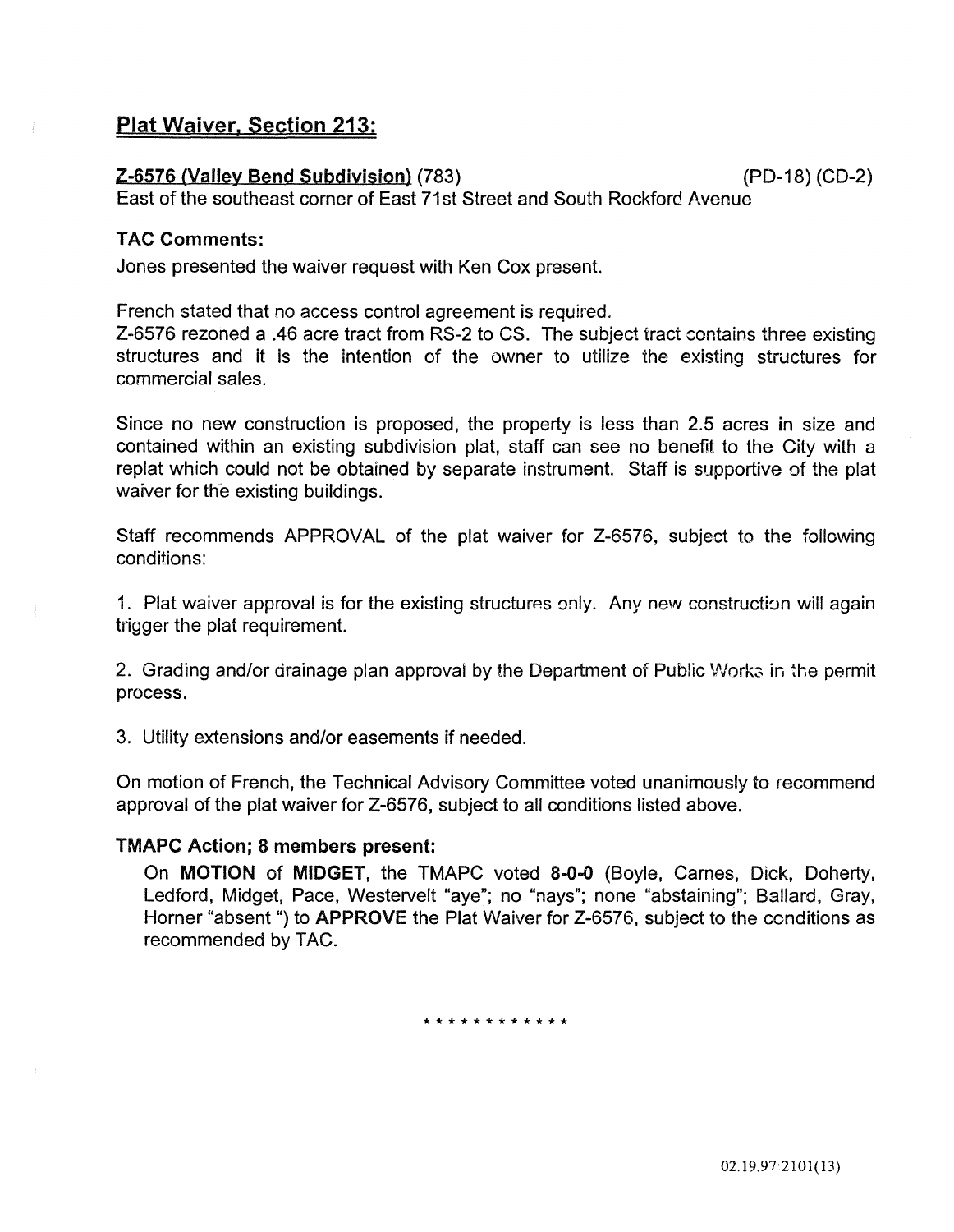# Plat Waiver, Section 213:

### Z-6576 (Valley Bend Subdivision) (783) (PD-18) (CD-2)

East of the southeast corner of East 71st Street and South Rockford Avenue

### TAC Comments:

Jones presented the waiver request with Ken Cox present.

French stated that no access control agreement is required.

Z-6576 rezoned a .46 acre tract from RS-2 to CS. The subject tract contains three existing structures and it is the intention of the owner to utilize the existing structures for commercial sales.

Since no new construction is proposed, the property is less than 2.5 acres in size and contained within an existing subdivision plat, staff can see no benefit to the City with a replat which could not be obtained by separate instrument. Staff is supportive of the plat waiver for the existing buildings.

Staff recommends APPROVAL of the plat waiver for Z-6576, subject to the following conditions:

1. Plat waiver approval is for the existing structures only. Any new construction will again trigger the plat requirement.

2. Grading and/or drainage plan approval by the Department of Public Works in the permit process.

3. Utility extensions and/or easements if needed.

On motion of French, the Technical Advisory Committee voted unanimously to recommend approval of the plat waiver for Z-6576, subject to all conditions listed above.

### TMAPC Action; 8 members present:

On MOTION of MIDGET, the TMAPC voted 8-0-0 (Boyle, Carnes, Dick, Doherty, Ledford, Midget, Pace, Westervelt "aye"; no "nays"; none "abstaining"; Ballard, Gray, Horner "absent ") to APPROVE the Plat Waiver for Z-6576, subject to the conditions as recommended by TAC.

\* \* \* \* \* \* \* \* \* \* \* \*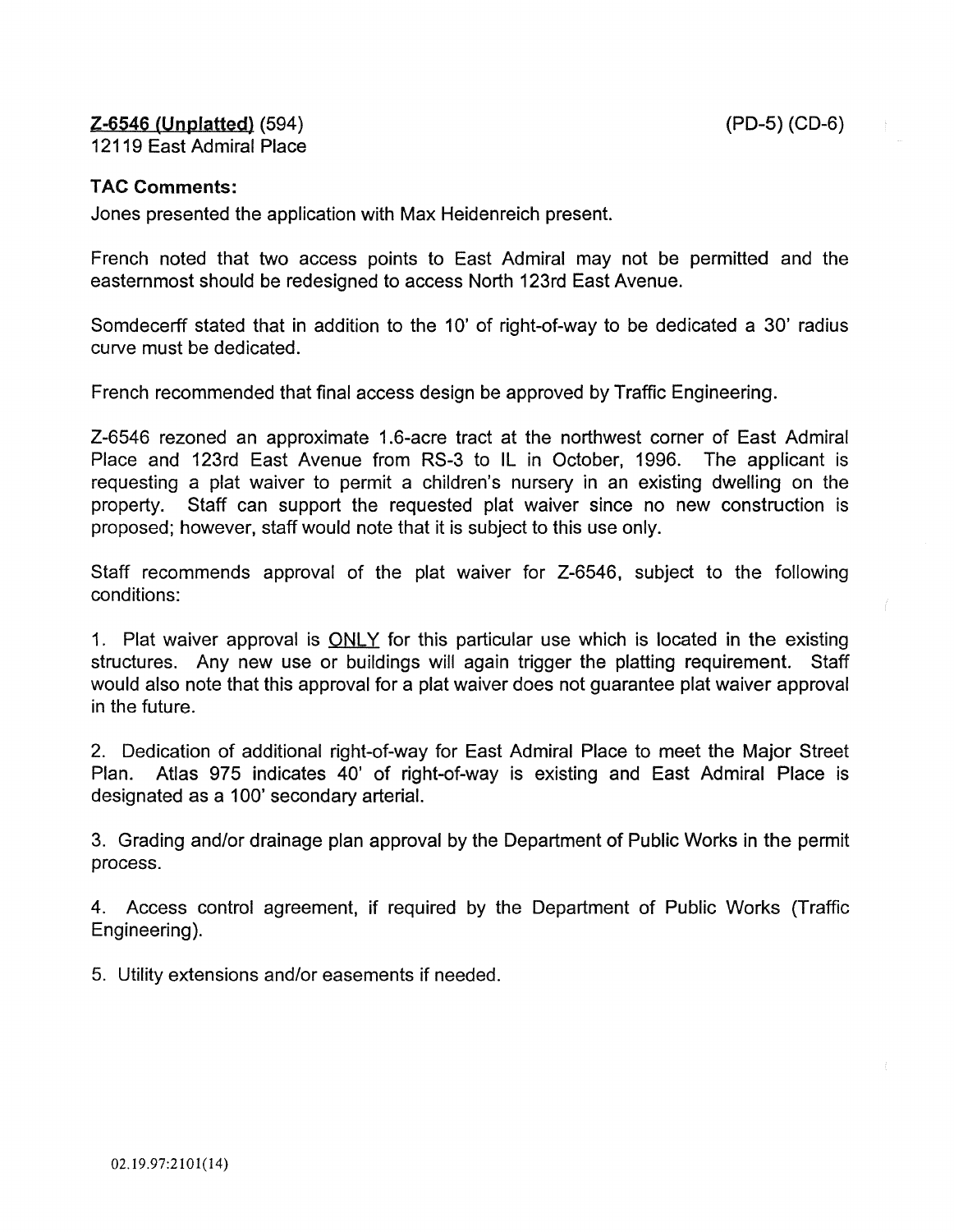### Z-6546 (Unplatted) (594) 12119 East Admiral Place

### TAC Comments:

Jones presented the application with Max Heidenreich present.

French noted that two access points to East Admiral may not be permitted and the easternmost should be redesigned to access North 123rd East Avenue.

Somdecerff stated that in addition to the 10' of right-of-way to be dedicated a 30' radius curve must be dedicated.

French recommended that final access design be approved by Traffic Engineering.

Z-6546 rezoned an approximate 1.6-acre tract at the northwest corner of East Admiral Place and 123rd East Avenue from RS-3 to IL in October, 1996. The applicant is requesting a plat waiver to permit a children's nursery in an existing dwelling on the property. Staff can support the requested plat waiver since no new construction is proposed; however, staff would note that it is subject to this use only.

Staff recommends approval of the plat waiver for Z-6546, subject to the following conditions:

1. Plat waiver approval is **ONLY** for this particular use which is located in the existing structures. Any new use or buildings will again trigger the platting requirement. Staff would also note that this approval for a plat waiver does not guarantee plat waiver approval in the future.

2. Dedication of additional right-of-way for East Admiral Place to meet the Major Street Plan. Atlas 975 indicates 40' of right-of-way is existing and East Admiral Place is designated as a 100' secondary arterial.

3. Grading and/or drainage plan approval by the Department of Public Works in the permit process.

4. Access control agreement, if required by the Department of Public Works (Traffic Engineering).

5. Utility extensions and/or easements if needed.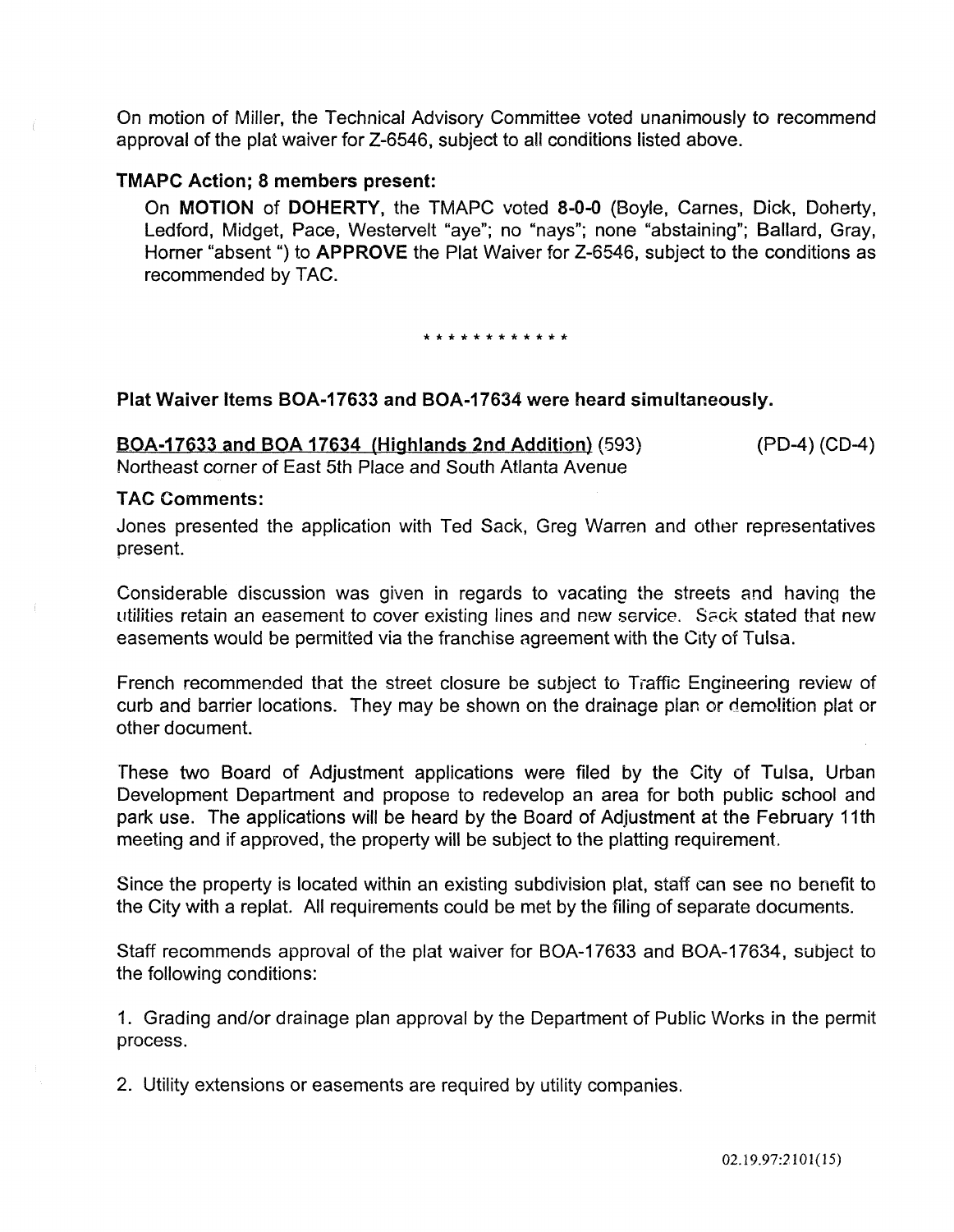On motion of Miller, the Technical Advisory Committee voted unanimously to recommend approval of the plat waiver for Z-6546, subject to all conditions listed above.

### TMAPC Action; 8 members present:

On MOTION of DOHERTY, the TMAPC voted 8-0-0 (Boyle, Carnes, Dick, Doherty, Ledford, Midget, Pace, Westervelt "aye"; no "nays"; none "abstaining"; Ballard, Gray, Horner "absent ") to APPROVE the Plat Waiver for Z-6546, subject to the conditions as recommended by TAC.

\* \* \* \* \* \* \* \* \* \* \* \*

### Plat Waiver Items BOA-17633 and BOA-17634 were heard simultaneously.

BOA-17633 and BOA 17634 (Highlands 2nd Addition) (593) Northeast corner of East 5th Place and South Atlanta Avenue (PD-4) (CD-4)

#### **TAC Comments:**

Jones presented the application with Ted Sack, Greg Warren and other representatives present.

Considerable discussion was given in regards to vacating the streets and having the utilities retain an easement to cover existing lines and new service. Seck stated that new easements would be permitted via the franchise agreement with the City of Tulsa.

French recommended that the street closure be subject to Traffic Engineering review of curb and barrier locations. They may be shown on the drainage pian or demolition plat or other document.

These two Board of Adjustment applications were filed by the City of Tulsa, Urban Development Department and propose to redevelop an area for both public school and park use. The applications will be heard by the Board of Adjustment at the February 11th meeting and if approved, the property will be subject to the platting requirement

Since the property is located within an existing subdivision plat, staff can see no benefit to the City with a replat. All requirements could be met by the filing of separate documents.

Staff recommends approval of the plat waiver for BOA-17633 and BOA-17634, subject to the following conditions:

1. Grading and/or drainage plan approval by the Department of Public Works in the permit process.

2. Utility extensions or easements are required by utility companies.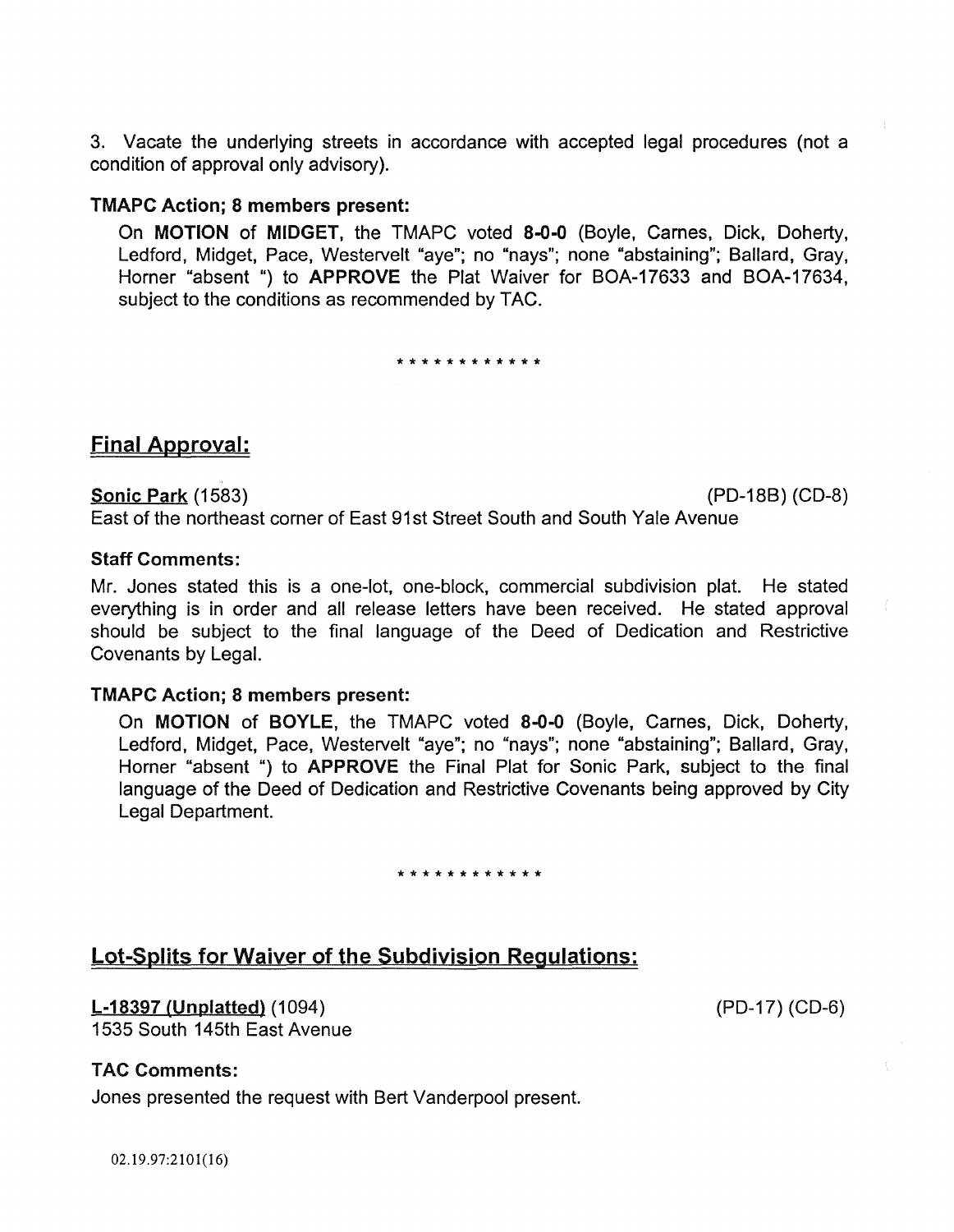3. Vacate the underlying streets in accordance with accepted legal procedures (not a condition of approval only advisory).

### TMAPC Action; 8 members present:

On MOTION of MIDGET, the TMAPC voted 8-0-0 (Boyle, Carnes, Dick, Doherty, Ledford, Midget, Pace, Westervelt "aye"; no "nays"; none "abstaining"; Ballard, Gray, Horner "absent ") to APPROVE the Plat Waiver for BOA-17633 and BOA-17634, subject to the conditions as recommended by TAC.

\*\*\*\*\*\*\*\*\*\*\*\*

# Final Approval:

Sonic Park (1583) (PD-18B) (CD-8)

East of the northeast corner of East 91 st Street South and South Yale Avenue

### Staff Comments:

Mr. Jones stated this is a one-lot, one-block, commercial subdivision plat. He stated everything is in order and all release letters have been received. He stated approval should be subject to the final language of the Deed of Dedication and Restrictive Covenants by Legal.

### TMAPC Action; 8 members present:

On MOTION of BOYLE, the TMAPC voted 8-0-0 (Boyle, Carnes, Dick, Doherty, Ledford, Midget, Pace, Westervelt "aye"; no "nays"; none "abstaining"; Ballard, Gray, Horner "absent ") to APPROVE the Final Plat for Sonic Park, subject to the final language of the Deed of Dedication and Restrictive Covenants being approved by City Legal Department.

### \*\*\*\*\*\*\*\*\*\*\*\*

# Lot-Splits for Waiver of the Subdivision Regulations:

**L-18397 (Unplatted)** (1094) 1535 South 145th East Avenue

### TAC Comments:

Jones presented the request with Bert Vanderpool present.

02.19.97:210 1(16)

(PD-17) (CD-6)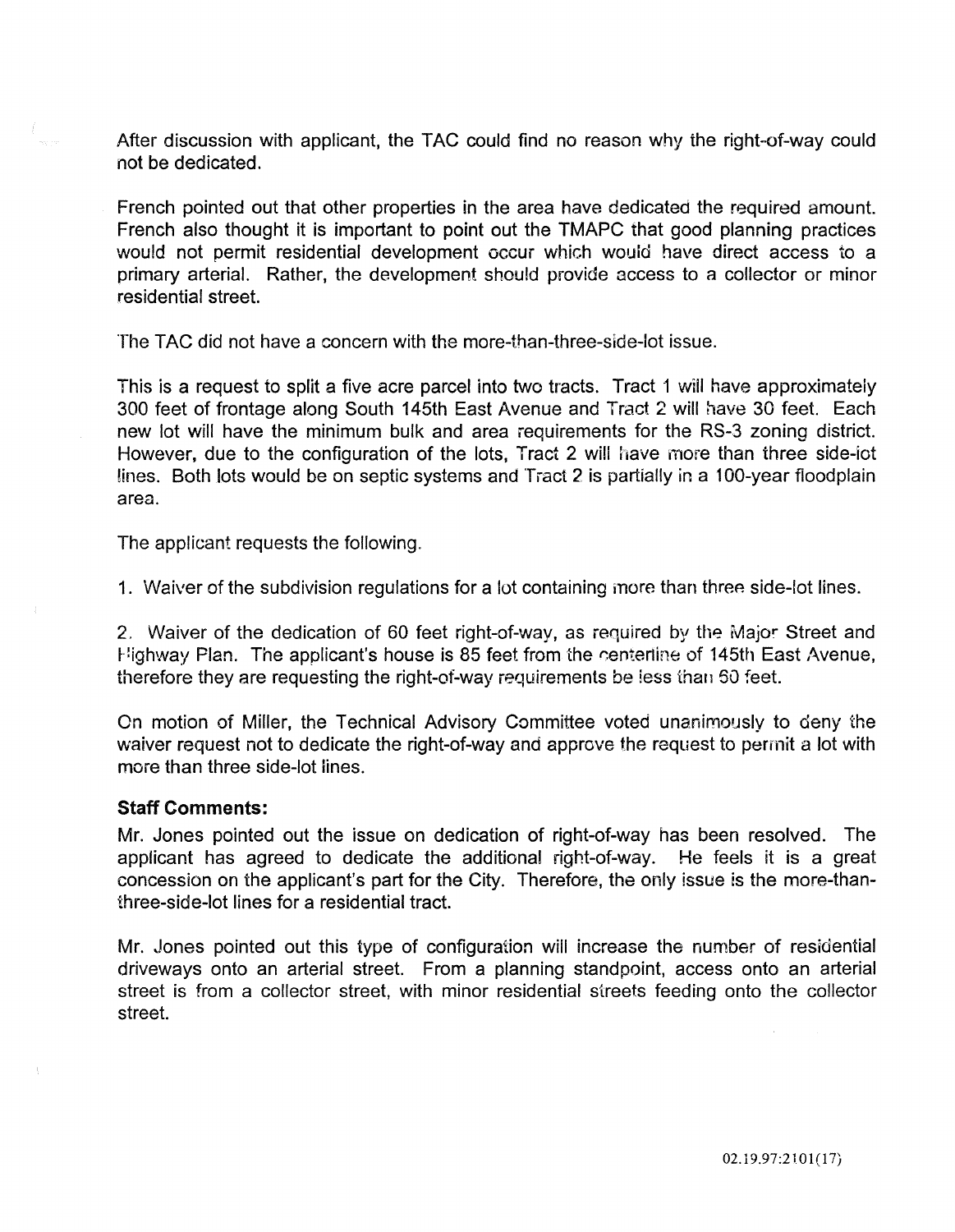After discussion with applicant, the TAC could find no reason why the right-of-way could not be dedicated.

French pointed out that other properties in the area have dedicated the required amount. French also thought it is important to point out the TMAPC that good planning practices would not permit residential development occur which wouid have direct access to a primary arterial. Rather, the development should provide access to a collector or minor residential street.

The TAC did not have a concern with the more-than-three-side-lot issue.

This is a request to split a five acre parcel into two tracts. Tract 1 will have approximately 300 feet of frontage along South 145th East Avenue and Tract 2 will have 30 feet. Each new lot will have the minimum bulk and area requirements for the RS-3 zoning district. However, due to the configuration of the lots, Tract 2 will have more than three side-iot lines. Both lots would be on septic systems and Tract 2 is partially in a 100-year floodplain area.

The applicant requests the following.

1. Waiver of the subdivision regulations for a lot containing more than three side-lot lines.

2. Waiver of the dedication of 60 feet right-of-way, as required by the Major Street and Highway Plan. The applicant's house is 85 feet from the centertine of 145th East Avenue, therefore they are requesting the right-of-way requirements be less than 50 feet.

On motion of Miller, the Technical Advisory Committee voted unanimously to deny the waiver request not to dedicate the right-of-way and approve the request to permit a lot with more than three side-lot lines.

#### Staff Comments:

Mr. Jones pointed out the issue on dedication of right-of-way has been resolved. The applicant has agreed to dedicate the additional right-of-way. He feels it is a great concession on the applicant's part for the City. Therefore, the only issue is the more-thanthree-side-lot lines for a residential tract.

Mr. Jones pointed out this type of configuration will increase the number of residential driveways onto an arterial street. From a planning standpoint, access onto an arterial street is from a collector street, with minor residential streets feeding onto the collector street.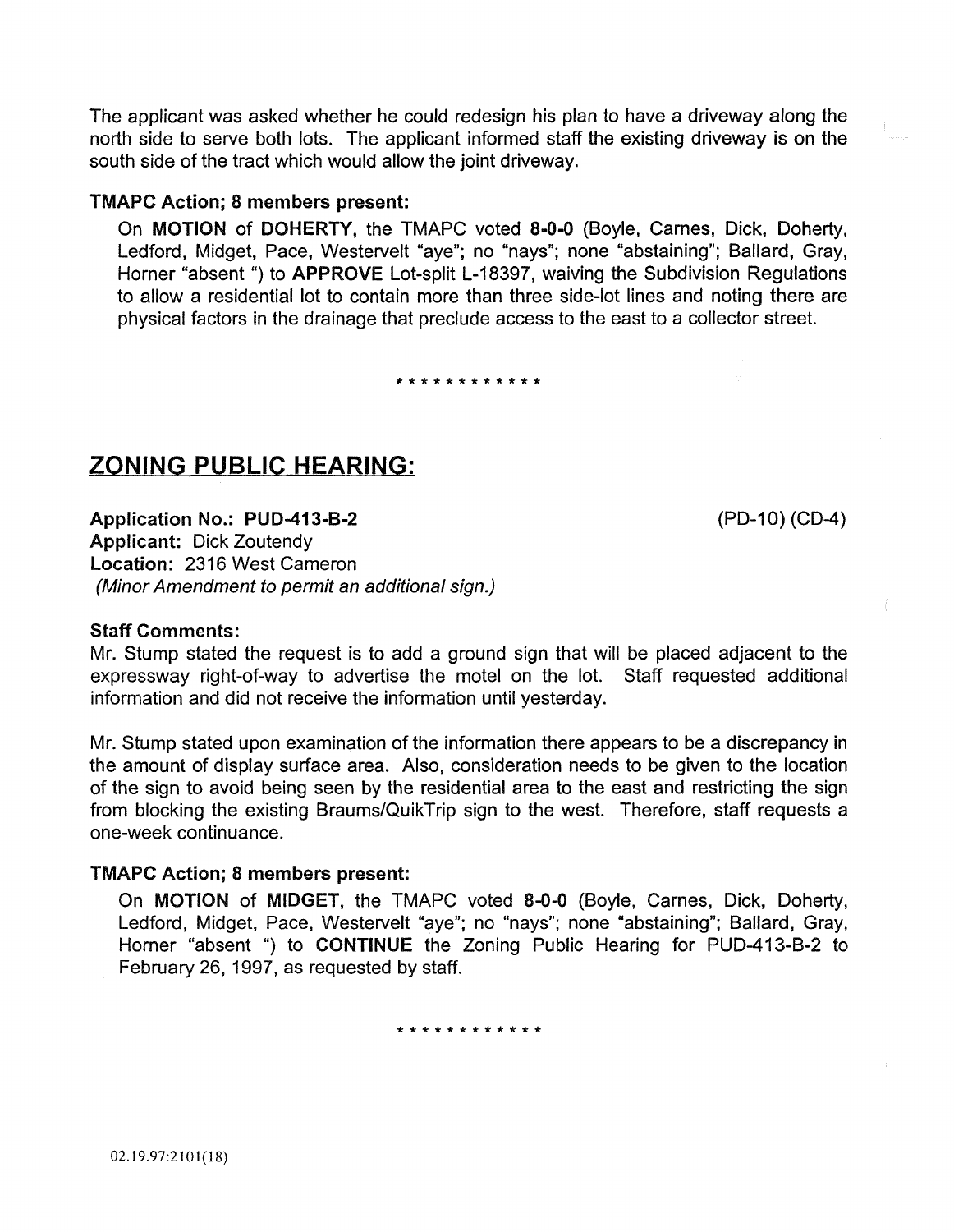The applicant was asked whether he could redesign his plan to have a driveway along the north side to serve both lots. The applicant informed staff the existing driveway is on the south side of the tract which would allow the joint driveway.

### TMAPC Action; 8 members present:

On MOTION of DOHERTY, the TMAPC voted 8-0-0 (Boyle, Carnes, Dick, Doherty, Ledford, Midget, Pace, Westervelt "aye"; no "nays"; none "abstaining"; Ballard, Gray, Horner "absent ") to **APPROVE** Lot-split L-18397, waiving the Subdivision Regulations to allow a residential lot to contain more than three side-lot lines and noting there are physical factors in the drainage that preclude access to the east to a collector street.

\*\*\*\*\*\*\*\*\*\*\*\*

# ZONING PUBLIC HEARING:

(PD-10) (CD-4)

Application No.: PUD-413-B-2 Applicant: Dick Zoutendy Location: 2316 West Cameron (Minor Amendment to permit an additional sign.)

### Staff Comments:

Mr. Stump stated the request is to add a ground sign that will be placed adjacent to the expressway right-of-way to advertise the motel on the lot. Staff requested additional information and did not receive the information until yesterday.

Mr. Stump stated upon examination of the information there appears to be a discrepancy in the amount of display surface area. Also, consideration needs to be given to the location of the sign to avoid being seen by the residential area to the east and restricting the sign from blocking the existing Braums/QuikTrip sign to the west. Therefore, staff requests a one-week continuance.

### TMAPC Action; 8 members present:

On MOTION of MIDGET, the TMAPC voted 8-0-0 (Boyle, Carnes, Dick, Doherty, Ledford, Midget, Pace, Westervelt "aye"; no "nays"; none "abstaining"; Ballard, Gray, Horner "absent ") to CONTINUE the Zoning Public Hearing for PUD-413-B-2 to February 26, 1997, as requested by staff.

\* \* \* \* \* \* \* \* \* \* \* \*